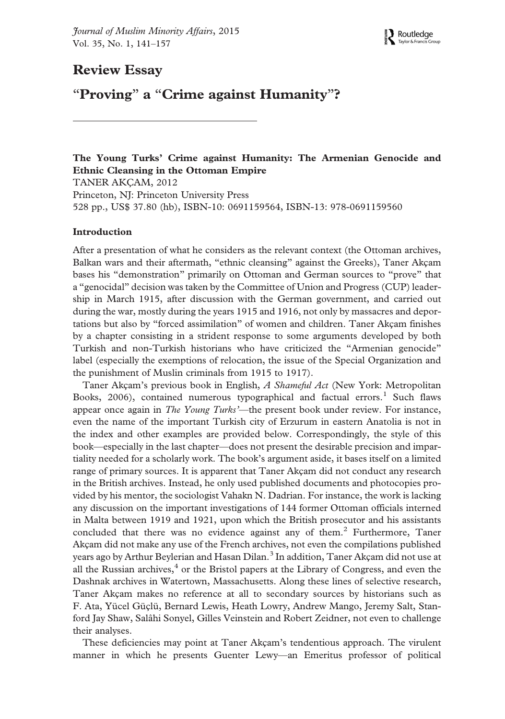## Review Essay

# "Proving" a "Crime against Humanity"?

The Young Turks' Crime against Humanity: The Armenian Genocide and Ethnic Cleansing in the Ottoman Empire TANER AKÇAM, 2012 Princeton, NJ: Princeton University Press 528 pp., US\$ 37.80 (hb), ISBN-10: 0691159564, ISBN-13: 978-0691159560

## Introduction

After a presentation of what he considers as the relevant context (the Ottoman archives, Balkan wars and their aftermath, "ethnic cleansing" against the Greeks), Taner Akçam bases his "demonstration" primarily on Ottoman and German sources to "prove" that a "genocidal" decision was taken by the Committee of Union and Progress (CUP) leadership in March 1915, after discussion with the German government, and carried out during the war, mostly during the years 1915 and 1916, not only by massacres and deportations but also by "forced assimilation" of women and children. Taner Akçam finishes by a chapter consisting in a strident response to some arguments developed by both Turkish and non-Turkish historians who have criticized the "Armenian genocide" label (especially the exemptions of relocation, the issue of the Special Organization and the punishment of Muslin criminals from 1915 to 1917).

Taner Akçam's previous book in English, A Shameful Act (New York: Metropolitan Books, 2006), contained numerous typographical and factual errors.<sup>1</sup> Such flaws appear once again in The Young Turks'—the present book under review. For instance, even the name of the important Turkish city of Erzurum in eastern Anatolia is not in the index and other examples are provided below. Correspondingly, the style of this book—especially in the last chapter—does not present the desirable precision and impartiality needed for a scholarly work. The book's argument aside, it bases itself on a limited range of primary sources. It is apparent that Taner Akçam did not conduct any research in the British archives. Instead, he only used published documents and photocopies provided by his mentor, the sociologist Vahakn N. Dadrian. For instance, the work is lacking any discussion on the important investigations of 144 former Ottoman officials interned in Malta between 1919 and 1921, upon which the British prosecutor and his assistants concluded that there was no evidence against any of them.<sup>2</sup> Furthermore, Taner Akçam did not make any use of the French archives, not even the compilations published years ago by Arthur Beylerian and Hasan Dilan.<sup>3</sup> In addition, Taner Akçam did not use at all the Russian archives, $4$  or the Bristol papers at the Library of Congress, and even the Dashnak archives in Watertown, Massachusetts. Along these lines of selective research, Taner Akçam makes no reference at all to secondary sources by historians such as F. Ata, Yücel Güçlü, Bernard Lewis, Heath Lowry, Andrew Mango, Jeremy Salt, Stanford Jay Shaw, Salâhi Sonyel, Gilles Veinstein and Robert Zeidner, not even to challenge their analyses.

These deficiencies may point at Taner Akçam's tendentious approach. The virulent manner in which he presents Guenter Lewy—an Emeritus professor of political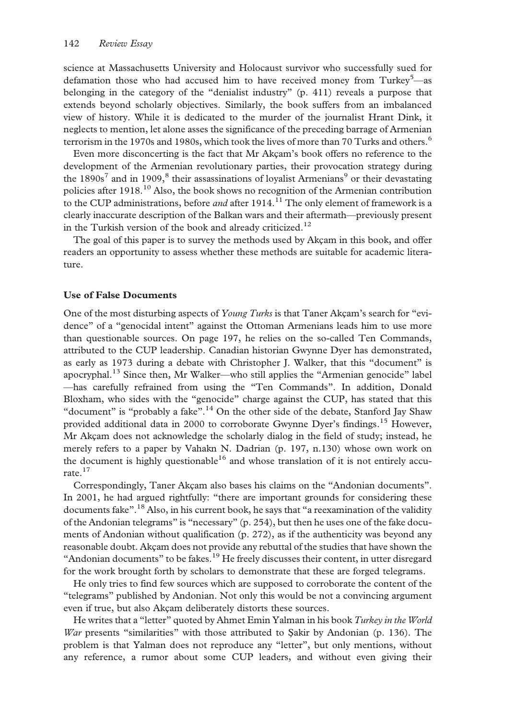science at Massachusetts University and Holocaust survivor who successfully sued for defamation those who had accused him to have received money from Turkey<sup>5</sup>—as belonging in the category of the "denialist industry" (p. 411) reveals a purpose that extends beyond scholarly objectives. Similarly, the book suffers from an imbalanced view of history. While it is dedicated to the murder of the journalist Hrant Dink, it neglects to mention, let alone asses the significance of the preceding barrage of Armenian terrorism in the 1970s and 1980s, which took the lives of more than 70 Turks and others.<sup>6</sup>

Even more disconcerting is the fact that Mr Akçam's book offers no reference to the development of the Armenian revolutionary parties, their provocation strategy during the  $1890s<sup>7</sup>$  and in  $1909<sup>8</sup>$  their assassinations of loyalist Armenians<sup>9</sup> or their devastating policies after 1918.<sup>10</sup> Also, the book shows no recognition of the Armenian contribution to the CUP administrations, before *and* after  $1914$ .<sup>11</sup> The only element of framework is a clearly inaccurate description of the Balkan wars and their aftermath—previously present in the Turkish version of the book and already criticized.<sup>12</sup>

The goal of this paper is to survey the methods used by Akçam in this book, and offer readers an opportunity to assess whether these methods are suitable for academic literature.

#### Use of False Documents

One of the most disturbing aspects of *Young Turks* is that Taner Akçam's search for "evidence" of a "genocidal intent" against the Ottoman Armenians leads him to use more than questionable sources. On page 197, he relies on the so-called Ten Commands, attributed to the CUP leadership. Canadian historian Gwynne Dyer has demonstrated, as early as 1973 during a debate with Christopher J. Walker, that this "document" is apocryphal.<sup>13</sup> Since then, Mr Walker—who still applies the "Armenian genocide" label —has carefully refrained from using the "Ten Commands". In addition, Donald Bloxham, who sides with the "genocide" charge against the CUP, has stated that this "document" is "probably a fake".<sup>14</sup> On the other side of the debate, Stanford Jay Shaw provided additional data in 2000 to corroborate Gwynne Dyer's findings.<sup>15</sup> However, Mr Akçam does not acknowledge the scholarly dialog in the field of study; instead, he merely refers to a paper by Vahakn N. Dadrian (p. 197, n.130) whose own work on the document is highly questionable<sup>16</sup> and whose translation of it is not entirely accurate.<sup>17</sup>

Correspondingly, Taner Akçam also bases his claims on the "Andonian documents". In 2001, he had argued rightfully: "there are important grounds for considering these documents fake".<sup>18</sup> Also, in his current book, he says that "a reexamination of the validity of the Andonian telegrams" is "necessary" (p. 254), but then he uses one of the fake documents of Andonian without qualification (p. 272), as if the authenticity was beyond any reasonable doubt. Akçam does not provide any rebuttal of the studies that have shown the "Andonian documents" to be fakes.<sup>19</sup> He freely discusses their content, in utter disregard for the work brought forth by scholars to demonstrate that these are forged telegrams.

He only tries to find few sources which are supposed to corroborate the content of the "telegrams" published by Andonian. Not only this would be not a convincing argument even if true, but also Akçam deliberately distorts these sources.

He writes that a "letter" quoted by Ahmet Emin Yalman in his book Turkey in the World War presents "similarities" with those attributed to Şakir by Andonian (p. 136). The problem is that Yalman does not reproduce any "letter", but only mentions, without any reference, a rumor about some CUP leaders, and without even giving their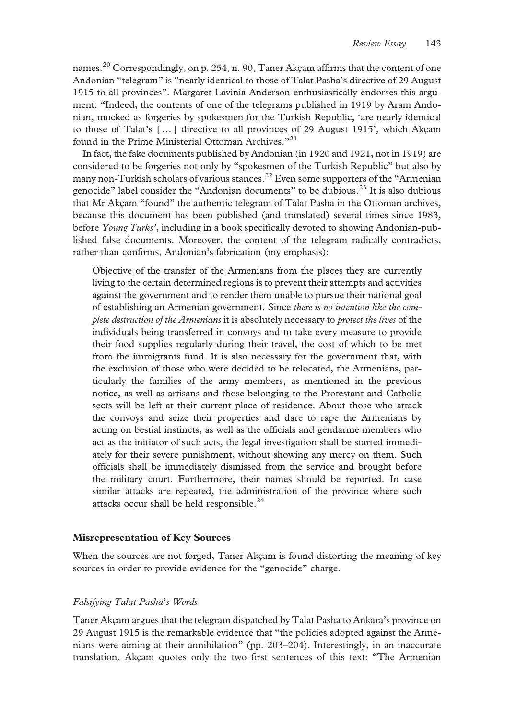names.<sup>20</sup> Correspondingly, on p. 254, n. 90, Taner Akcam affirms that the content of one Andonian "telegram" is "nearly identical to those of Talat Pasha's directive of 29 August 1915 to all provinces". Margaret Lavinia Anderson enthusiastically endorses this argument: "Indeed, the contents of one of the telegrams published in 1919 by Aram Andonian, mocked as forgeries by spokesmen for the Turkish Republic, 'are nearly identical to those of Talat's [ … ] directive to all provinces of 29 August 1915', which Akçam found in the Prime Ministerial Ottoman Archives."<sup>21</sup>

In fact, the fake documents published by Andonian (in 1920 and 1921, not in 1919) are considered to be forgeries not only by "spokesmen of the Turkish Republic" but also by many non-Turkish scholars of various stances.<sup>22</sup> Even some supporters of the "Armenian genocide" label consider the "Andonian documents" to be dubious.<sup>23</sup> It is also dubious that Mr Akçam "found" the authentic telegram of Talat Pasha in the Ottoman archives, because this document has been published (and translated) several times since 1983, before Young Turks', including in a book specifically devoted to showing Andonian-published false documents. Moreover, the content of the telegram radically contradicts, rather than confirms, Andonian's fabrication (my emphasis):

Objective of the transfer of the Armenians from the places they are currently living to the certain determined regions is to prevent their attempts and activities against the government and to render them unable to pursue their national goal of establishing an Armenian government. Since there is no intention like the complete destruction of the Armenians it is absolutely necessary to protect the lives of the individuals being transferred in convoys and to take every measure to provide their food supplies regularly during their travel, the cost of which to be met from the immigrants fund. It is also necessary for the government that, with the exclusion of those who were decided to be relocated, the Armenians, particularly the families of the army members, as mentioned in the previous notice, as well as artisans and those belonging to the Protestant and Catholic sects will be left at their current place of residence. About those who attack the convoys and seize their properties and dare to rape the Armenians by acting on bestial instincts, as well as the officials and gendarme members who act as the initiator of such acts, the legal investigation shall be started immediately for their severe punishment, without showing any mercy on them. Such officials shall be immediately dismissed from the service and brought before the military court. Furthermore, their names should be reported. In case similar attacks are repeated, the administration of the province where such attacks occur shall be held responsible. $^{24}$ 

## Misrepresentation of Key Sources

When the sources are not forged, Taner Akçam is found distorting the meaning of key sources in order to provide evidence for the "genocide" charge.

## Falsifying Talat Pasha's Words

Taner Akçam argues that the telegram dispatched by Talat Pasha to Ankara's province on 29 August 1915 is the remarkable evidence that "the policies adopted against the Armenians were aiming at their annihilation" (pp. 203–204). Interestingly, in an inaccurate translation, Akçam quotes only the two first sentences of this text: "The Armenian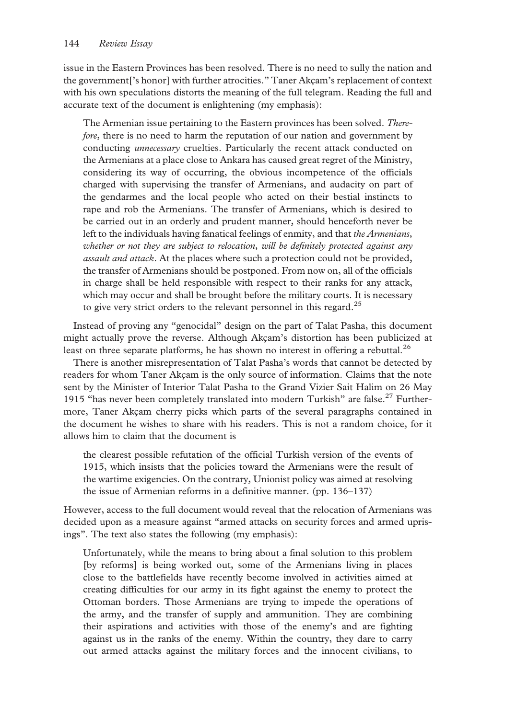issue in the Eastern Provinces has been resolved. There is no need to sully the nation and the government['s honor] with further atrocities." Taner Akçam's replacement of context with his own speculations distorts the meaning of the full telegram. Reading the full and accurate text of the document is enlightening (my emphasis):

The Armenian issue pertaining to the Eastern provinces has been solved. *There*fore, there is no need to harm the reputation of our nation and government by conducting unnecessary cruelties. Particularly the recent attack conducted on the Armenians at a place close to Ankara has caused great regret of the Ministry, considering its way of occurring, the obvious incompetence of the officials charged with supervising the transfer of Armenians, and audacity on part of the gendarmes and the local people who acted on their bestial instincts to rape and rob the Armenians. The transfer of Armenians, which is desired to be carried out in an orderly and prudent manner, should henceforth never be left to the individuals having fanatical feelings of enmity, and that the Armenians, whether or not they are subject to relocation, will be definitely protected against any assault and attack. At the places where such a protection could not be provided, the transfer of Armenians should be postponed. From now on, all of the officials in charge shall be held responsible with respect to their ranks for any attack, which may occur and shall be brought before the military courts. It is necessary to give very strict orders to the relevant personnel in this regard.<sup>25</sup>

Instead of proving any "genocidal" design on the part of Talat Pasha, this document might actually prove the reverse. Although Akçam's distortion has been publicized at least on three separate platforms, he has shown no interest in offering a rebuttal.<sup>26</sup>

There is another misrepresentation of Talat Pasha's words that cannot be detected by readers for whom Taner Akçam is the only source of information. Claims that the note sent by the Minister of Interior Talat Pasha to the Grand Vizier Sait Halim on 26 May 1915 "has never been completely translated into modern Turkish" are false.<sup>27</sup> Furthermore, Taner Akçam cherry picks which parts of the several paragraphs contained in the document he wishes to share with his readers. This is not a random choice, for it allows him to claim that the document is

the clearest possible refutation of the official Turkish version of the events of 1915, which insists that the policies toward the Armenians were the result of the wartime exigencies. On the contrary, Unionist policy was aimed at resolving the issue of Armenian reforms in a definitive manner. (pp. 136–137)

However, access to the full document would reveal that the relocation of Armenians was decided upon as a measure against "armed attacks on security forces and armed uprisings". The text also states the following (my emphasis):

Unfortunately, while the means to bring about a final solution to this problem [by reforms] is being worked out, some of the Armenians living in places close to the battlefields have recently become involved in activities aimed at creating difficulties for our army in its fight against the enemy to protect the Ottoman borders. Those Armenians are trying to impede the operations of the army, and the transfer of supply and ammunition. They are combining their aspirations and activities with those of the enemy's and are fighting against us in the ranks of the enemy. Within the country, they dare to carry out armed attacks against the military forces and the innocent civilians, to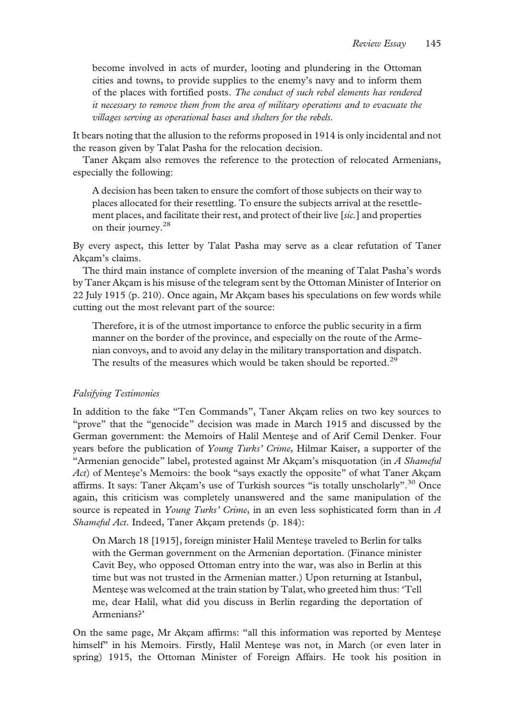become involved in acts of murder, looting and plundering in the Ottoman cities and towns, to provide supplies to the enemy's navy and to inform them of the places with fortified posts. The conduct of such rebel elements has rendered it necessary to remove them from the area of military operations and to evacuate the villages serving as operational bases and shelters for the rebels.

It bears noting that the allusion to the reforms proposed in 1914 is only incidental and not the reason given by Talat Pasha for the relocation decision.

Taner Akçam also removes the reference to the protection of relocated Armenians, especially the following:

A decision has been taken to ensure the comfort of those subjects on their way to places allocated for their resettling. To ensure the subjects arrival at the resettlement places, and facilitate their rest, and protect of their live [sic.] and properties on their journey.<sup>28</sup>

By every aspect, this letter by Talat Pasha may serve as a clear refutation of Taner Akçam's claims.

The third main instance of complete inversion of the meaning of Talat Pasha's words by Taner Akçam is his misuse of the telegram sent by the Ottoman Minister of Interior on 22 July 1915 (p. 210). Once again, Mr Akçam bases his speculations on few words while cutting out the most relevant part of the source:

Therefore, it is of the utmost importance to enforce the public security in a firm manner on the border of the province, and especially on the route of the Armenian convoys, and to avoid any delay in the military transportation and dispatch. The results of the measures which would be taken should be reported.<sup>29</sup>

#### Falsifying Testimonies

In addition to the fake "Ten Commands", Taner Akçam relies on two key sources to "prove" that the "genocide" decision was made in March 1915 and discussed by the German government: the Memoirs of Halil Mentese and of Arif Cemil Denker. Four years before the publication of Young Turks' Crime, Hilmar Kaiser, a supporter of the "Armenian genocide" label, protested against Mr Akçam's misquotation (in  $\Lambda$  Shameful Act) of Mentese's Memoirs: the book "says exactly the opposite" of what Taner Akcam affirms. It says: Taner Akçam's use of Turkish sources "is totally unscholarly".<sup>30</sup> Once again, this criticism was completely unanswered and the same manipulation of the source is repeated in Young Turks' Crime, in an even less sophisticated form than in  $\tilde{A}$ Shameful Act. Indeed, Taner Akçam pretends (p. 184):

On March 18 [1915], foreign minister Halil Mentese traveled to Berlin for talks with the German government on the Armenian deportation. (Finance minister Cavit Bey, who opposed Ottoman entry into the war, was also in Berlin at this time but was not trusted in the Armenian matter.) Upon returning at Istanbul, Mentese was welcomed at the train station by Talat, who greeted him thus: 'Tell me, dear Halil, what did you discuss in Berlin regarding the deportation of Armenians?'

On the same page, Mr Akçam affirms: "all this information was reported by Menteşe himself" in his Memoirs. Firstly, Halil Menteşe was not, in March (or even later in spring) 1915, the Ottoman Minister of Foreign Affairs. He took his position in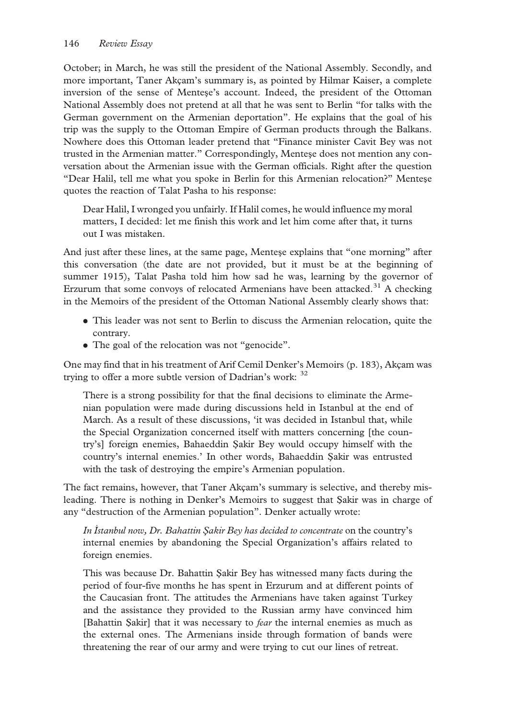October; in March, he was still the president of the National Assembly. Secondly, and more important, Taner Akçam's summary is, as pointed by Hilmar Kaiser, a complete inversion of the sense of Mentese's account. Indeed, the president of the Ottoman National Assembly does not pretend at all that he was sent to Berlin "for talks with the German government on the Armenian deportation". He explains that the goal of his trip was the supply to the Ottoman Empire of German products through the Balkans. Nowhere does this Ottoman leader pretend that "Finance minister Cavit Bey was not trusted in the Armenian matter." Correspondingly, Mentese does not mention any conversation about the Armenian issue with the German officials. Right after the question "Dear Halil, tell me what you spoke in Berlin for this Armenian relocation?" Mentese quotes the reaction of Talat Pasha to his response:

Dear Halil, I wronged you unfairly. If Halil comes, he would influence my moral matters, I decided: let me finish this work and let him come after that, it turns out I was mistaken.

And just after these lines, at the same page, Mentese explains that "one morning" after this conversation (the date are not provided, but it must be at the beginning of summer 1915), Talat Pasha told him how sad he was, learning by the governor of Erzurum that some convoys of relocated Armenians have been attacked.<sup>31</sup> A checking in the Memoirs of the president of the Ottoman National Assembly clearly shows that:

- . This leader was not sent to Berlin to discuss the Armenian relocation, quite the contrary.
- . The goal of the relocation was not "genocide".

One may find that in his treatment of Arif Cemil Denker's Memoirs (p. 183), Akçam was trying to offer a more subtle version of Dadrian's work:  $32$ 

There is a strong possibility for that the final decisions to eliminate the Armenian population were made during discussions held in Istanbul at the end of March. As a result of these discussions, 'it was decided in Istanbul that, while the Special Organization concerned itself with matters concerning [the country's] foreign enemies, Bahaeddin Şakir Bey would occupy himself with the country's internal enemies.' In other words, Bahaeddin Sakir was entrusted with the task of destroying the empire's Armenian population.

The fact remains, however, that Taner Akçam's summary is selective, and thereby misleading. There is nothing in Denker's Memoirs to suggest that Şakir was in charge of any "destruction of the Armenian population". Denker actually wrote:

In İstanbul now, Dr. Bahattin Şakir Bey has decided to concentrate on the country's internal enemies by abandoning the Special Organization's affairs related to foreign enemies.

This was because Dr. Bahattin Şakir Bey has witnessed many facts during the period of four-five months he has spent in Erzurum and at different points of the Caucasian front. The attitudes the Armenians have taken against Turkey and the assistance they provided to the Russian army have convinced him [Bahattin Şakir] that it was necessary to *fear* the internal enemies as much as the external ones. The Armenians inside through formation of bands were threatening the rear of our army and were trying to cut our lines of retreat.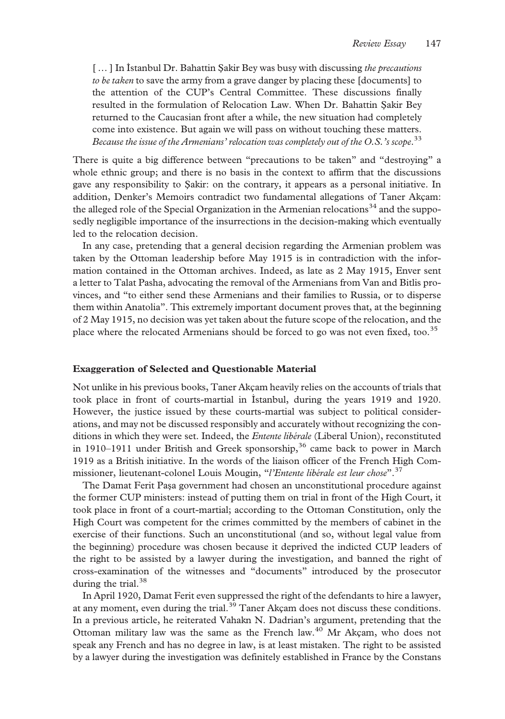[...] In Istanbul Dr. Bahattin Şakir Bey was busy with discussing the precautions to be taken to save the army from a grave danger by placing these [documents] to the attention of the CUP's Central Committee. These discussions finally resulted in the formulation of Relocation Law. When Dr. Bahattin Sakir Bey returned to the Caucasian front after a while, the new situation had completely come into existence. But again we will pass on without touching these matters. Because the issue of the Armenians' relocation was completely out of the O.S.'s scope.<sup>33</sup>

There is quite a big difference between "precautions to be taken" and "destroying" a whole ethnic group; and there is no basis in the context to affirm that the discussions gave any responsibility to Sakir: on the contrary, it appears as a personal initiative. In addition, Denker's Memoirs contradict two fundamental allegations of Taner Akçam: the alleged role of the Special Organization in the Armenian relocations<sup>34</sup> and the supposedly negligible importance of the insurrections in the decision-making which eventually led to the relocation decision.

In any case, pretending that a general decision regarding the Armenian problem was taken by the Ottoman leadership before May 1915 is in contradiction with the information contained in the Ottoman archives. Indeed, as late as 2 May 1915, Enver sent a letter to Talat Pasha, advocating the removal of the Armenians from Van and Bitlis provinces, and "to either send these Armenians and their families to Russia, or to disperse them within Anatolia". This extremely important document proves that, at the beginning of 2 May 1915, no decision was yet taken about the future scope of the relocation, and the place where the relocated Armenians should be forced to go was not even fixed, too.<sup>35</sup>

#### Exaggeration of Selected and Questionable Material

Not unlike in his previous books, Taner Akçam heavily relies on the accounts of trials that took place in front of courts-martial in İ stanbul, during the years 1919 and 1920. However, the justice issued by these courts-martial was subject to political considerations, and may not be discussed responsibly and accurately without recognizing the conditions in which they were set. Indeed, the *Entente libérale* (Liberal Union), reconstituted in 1910–1911 under British and Greek sponsorship,  $36$  came back to power in March 1919 as a British initiative. In the words of the liaison officer of the French High Commissioner, lieutenant-colonel Louis Mougin, "l'Entente libérale est leur chose".<sup>37</sup>

The Damat Ferit Pasa government had chosen an unconstitutional procedure against the former CUP ministers: instead of putting them on trial in front of the High Court, it took place in front of a court-martial; according to the Ottoman Constitution, only the High Court was competent for the crimes committed by the members of cabinet in the exercise of their functions. Such an unconstitutional (and so, without legal value from the beginning) procedure was chosen because it deprived the indicted CUP leaders of the right to be assisted by a lawyer during the investigation, and banned the right of cross-examination of the witnesses and "documents" introduced by the prosecutor during the trial.<sup>38</sup>

In April 1920, Damat Ferit even suppressed the right of the defendants to hire a lawyer, at any moment, even during the trial.<sup>39</sup> Taner Akçam does not discuss these conditions. In a previous article, he reiterated Vahakn N. Dadrian's argument, pretending that the Ottoman military law was the same as the French law.<sup>40</sup> Mr Akçam, who does not speak any French and has no degree in law, is at least mistaken. The right to be assisted by a lawyer during the investigation was definitely established in France by the Constans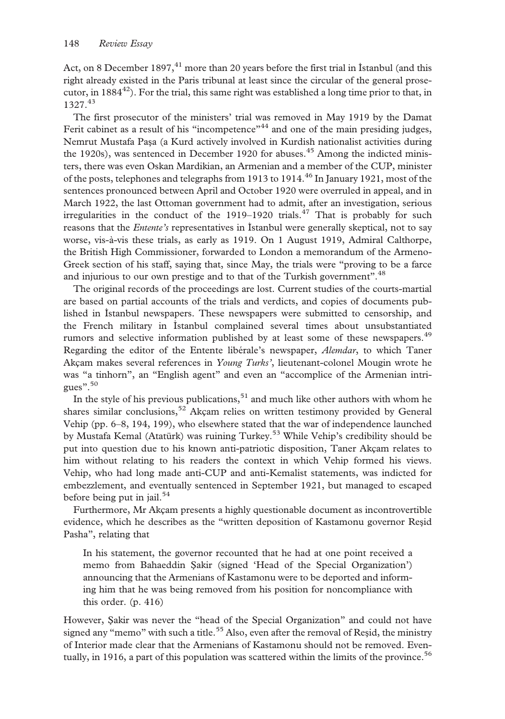Act, on 8 December 1897, $^{41}$  more than 20 years before the first trial in Istanbul (and this right already existed in the Paris tribunal at least since the circular of the general prosecutor, in 1884<sup>42</sup>). For the trial, this same right was established a long time prior to that, in 1327.<sup>43</sup>

The first prosecutor of the ministers' trial was removed in May 1919 by the Damat Ferit cabinet as a result of his "incompetence"<sup>44</sup> and one of the main presiding judges, Nemrut Mustafa Pasa (a Kurd actively involved in Kurdish nationalist activities during the 1920s), was sentenced in December 1920 for abuses.<sup>45</sup> Among the indicted ministers, there was even Oskan Mardikian, an Armenian and a member of the CUP, minister of the posts, telephones and telegraphs from 1913 to 1914.<sup>46</sup> In January 1921, most of the sentences pronounced between April and October 1920 were overruled in appeal, and in March 1922, the last Ottoman government had to admit, after an investigation, serious irregularities in the conduct of the 1919–1920 trials.<sup>47</sup> That is probably for such reasons that the *Entente's* representatives in Istanbul were generally skeptical, not to say worse, vis-à-vis these trials, as early as 1919. On 1 August 1919, Admiral Calthorpe, the British High Commissioner, forwarded to London a memorandum of the Armeno-Greek section of his staff, saying that, since May, the trials were "proving to be a farce and injurious to our own prestige and to that of the Turkish government".<sup>48</sup>

The original records of the proceedings are lost. Current studies of the courts-martial are based on partial accounts of the trials and verdicts, and copies of documents published in İ stanbul newspapers. These newspapers were submitted to censorship, and the French military in Istanbul complained several times about unsubstantiated rumors and selective information published by at least some of these newspapers.<sup>49</sup> Regarding the editor of the Entente libérale's newspaper, *Alemdar*, to which Taner Akçam makes several references in Young Turks', lieutenant-colonel Mougin wrote he was "a tinhorn", an "English agent" and even an "accomplice of the Armenian intrigues". 50

In the style of his previous publications,<sup>51</sup> and much like other authors with whom he shares similar conclusions,<sup>52</sup> Akçam relies on written testimony provided by General Vehip (pp. 6–8, 194, 199), who elsewhere stated that the war of independence launched by Mustafa Kemal (Atatürk) was ruining Turkey.<sup>53</sup> While Vehip's credibility should be put into question due to his known anti-patriotic disposition, Taner Akçam relates to him without relating to his readers the context in which Vehip formed his views. Vehip, who had long made anti-CUP and anti-Kemalist statements, was indicted for embezzlement, and eventually sentenced in September 1921, but managed to escaped before being put in jail.<sup>54</sup>

Furthermore, Mr Akçam presents a highly questionable document as incontrovertible evidence, which he describes as the "written deposition of Kastamonu governor Resid Pasha", relating that

In his statement, the governor recounted that he had at one point received a memo from Bahaeddin Şakir (signed 'Head of the Special Organization') announcing that the Armenians of Kastamonu were to be deported and informing him that he was being removed from his position for noncompliance with this order. (p. 416)

However, Şakir was never the "head of the Special Organization" and could not have signed any "memo" with such a title.<sup>55</sup> Also, even after the removal of Resid, the ministry of Interior made clear that the Armenians of Kastamonu should not be removed. Eventually, in 1916, a part of this population was scattered within the limits of the province.<sup>56</sup>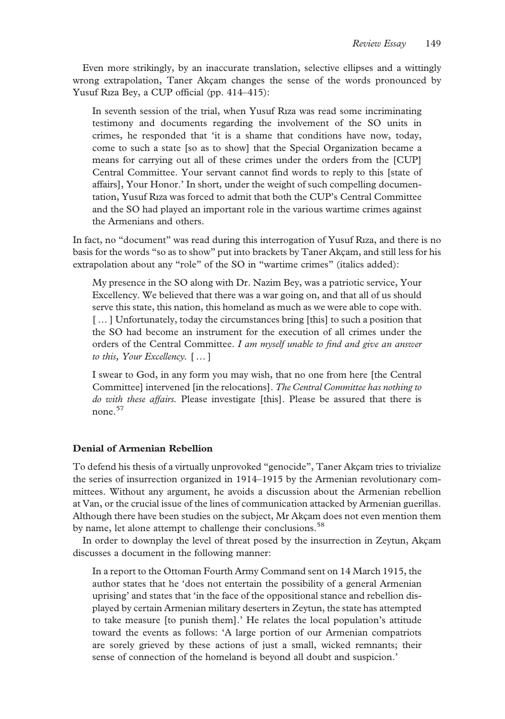Even more strikingly, by an inaccurate translation, selective ellipses and a wittingly wrong extrapolation, Taner Akçam changes the sense of the words pronounced by Yusuf Rıza Bey, a CUP official (pp. 414–415):

In seventh session of the trial, when Yusuf Rıza was read some incriminating testimony and documents regarding the involvement of the SO units in crimes, he responded that 'it is a shame that conditions have now, today, come to such a state [so as to show] that the Special Organization became a means for carrying out all of these crimes under the orders from the [CUP] Central Committee. Your servant cannot find words to reply to this [state of affairs], Your Honor.' In short, under the weight of such compelling documentation, Yusuf Rıza was forced to admit that both the CUP's Central Committee and the SO had played an important role in the various wartime crimes against the Armenians and others.

In fact, no "document" was read during this interrogation of Yusuf Rıza, and there is no basis for the words "so as to show" put into brackets by Taner Akçam, and still less for his extrapolation about any "role" of the SO in "wartime crimes" (italics added):

My presence in the SO along with Dr. Nazim Bey, was a patriotic service, Your Excellency. We believed that there was a war going on, and that all of us should serve this state, this nation, this homeland as much as we were able to cope with. [...] Unfortunately, today the circumstances bring [this] to such a position that the SO had become an instrument for the execution of all crimes under the orders of the Central Committee. I am myself unable to find and give an answer to this, Your Excellency. [ … ]

I swear to God, in any form you may wish, that no one from here [the Central Committee] intervened [in the relocations]. The Central Committee has nothing to do with these affairs. Please investigate [this]. Please be assured that there is none.<sup>57</sup>

## Denial of Armenian Rebellion

To defend his thesis of a virtually unprovoked "genocide", Taner Akçam tries to trivialize the series of insurrection organized in 1914–1915 by the Armenian revolutionary committees. Without any argument, he avoids a discussion about the Armenian rebellion at Van, or the crucial issue of the lines of communication attacked by Armenian guerillas. Although there have been studies on the subject, Mr Akçam does not even mention them by name, let alone attempt to challenge their conclusions.<sup>58</sup>

In order to downplay the level of threat posed by the insurrection in Zeytun, Akçam discusses a document in the following manner:

In a report to the Ottoman Fourth Army Command sent on 14 March 1915, the author states that he 'does not entertain the possibility of a general Armenian uprising' and states that 'in the face of the oppositional stance and rebellion displayed by certain Armenian military deserters in Zeytun, the state has attempted to take measure [to punish them].' He relates the local population's attitude toward the events as follows: 'A large portion of our Armenian compatriots are sorely grieved by these actions of just a small, wicked remnants; their sense of connection of the homeland is beyond all doubt and suspicion.'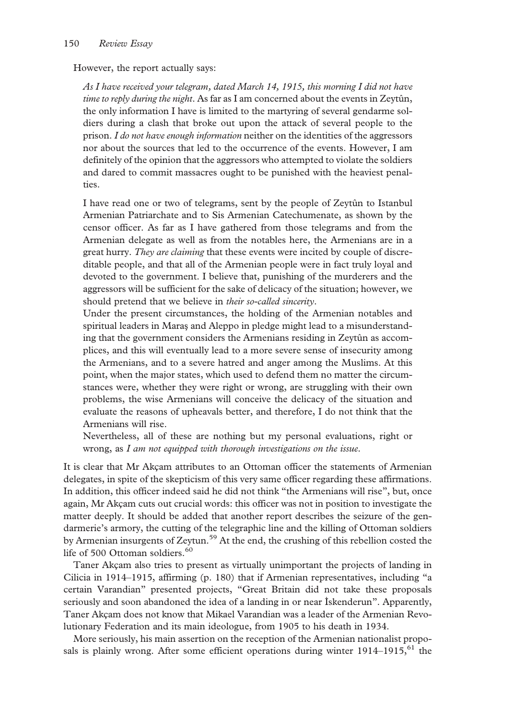However, the report actually says:

As I have received your telegram, dated March 14, 1915, this morning I did not have time to reply during the night. As far as I am concerned about the events in Zeytûn, the only information I have is limited to the martyring of several gendarme soldiers during a clash that broke out upon the attack of several people to the prison. I do not have enough information neither on the identities of the aggressors nor about the sources that led to the occurrence of the events. However, I am definitely of the opinion that the aggressors who attempted to violate the soldiers and dared to commit massacres ought to be punished with the heaviest penalties.

I have read one or two of telegrams, sent by the people of Zeytûn to Istanbul Armenian Patriarchate and to Sis Armenian Catechumenate, as shown by the censor officer. As far as I have gathered from those telegrams and from the Armenian delegate as well as from the notables here, the Armenians are in a great hurry. They are claiming that these events were incited by couple of discreditable people, and that all of the Armenian people were in fact truly loyal and devoted to the government. I believe that, punishing of the murderers and the aggressors will be sufficient for the sake of delicacy of the situation; however, we should pretend that we believe in their so-called sincerity.

Under the present circumstances, the holding of the Armenian notables and spiritual leaders in Maras and Aleppo in pledge might lead to a misunderstanding that the government considers the Armenians residing in Zeytûn as accomplices, and this will eventually lead to a more severe sense of insecurity among the Armenians, and to a severe hatred and anger among the Muslims. At this point, when the major states, which used to defend them no matter the circumstances were, whether they were right or wrong, are struggling with their own problems, the wise Armenians will conceive the delicacy of the situation and evaluate the reasons of upheavals better, and therefore, I do not think that the Armenians will rise.

Nevertheless, all of these are nothing but my personal evaluations, right or wrong, as I am not equipped with thorough investigations on the issue.

It is clear that Mr Akçam attributes to an Ottoman officer the statements of Armenian delegates, in spite of the skepticism of this very same officer regarding these affirmations. In addition, this officer indeed said he did not think "the Armenians will rise", but, once again, Mr Akçam cuts out crucial words: this officer was not in position to investigate the matter deeply. It should be added that another report describes the seizure of the gendarmerie's armory, the cutting of the telegraphic line and the killing of Ottoman soldiers by Armenian insurgents of Zeytun.<sup>59</sup> At the end, the crushing of this rebellion costed the life of 500 Ottoman soldiers.<sup>60</sup>

Taner Akçam also tries to present as virtually unimportant the projects of landing in Cilicia in 1914–1915, affirming (p. 180) that if Armenian representatives, including "a certain Varandian" presented projects, "Great Britain did not take these proposals seriously and soon abandoned the idea of a landing in or near İ skenderun". Apparently, Taner Akçam does not know that Mikael Varandian was a leader of the Armenian Revolutionary Federation and its main ideologue, from 1905 to his death in 1934.

More seriously, his main assertion on the reception of the Armenian nationalist proposals is plainly wrong. After some efficient operations during winter  $1914-1915$ , <sup>61</sup> the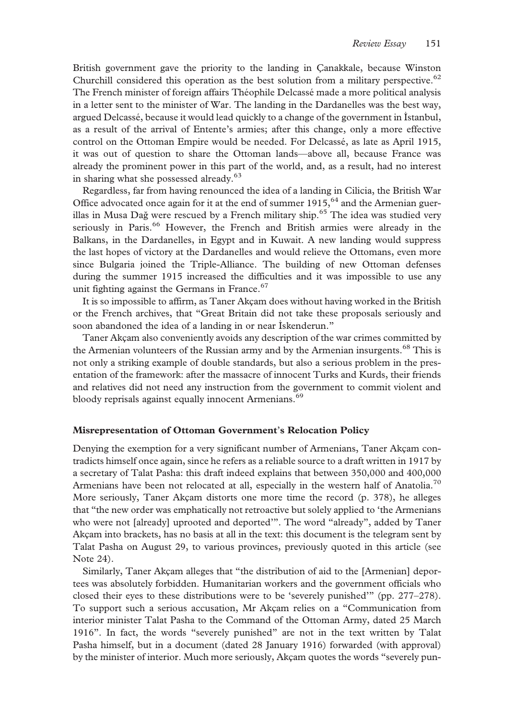British government gave the priority to the landing in Çanakkale, because Winston Churchill considered this operation as the best solution from a military perspective.<sup>62</sup> The French minister of foreign affairs Théophile Delcassé made a more political analysis in a letter sent to the minister of War. The landing in the Dardanelles was the best way, argued Delcassé, because it would lead quickly to a change of the government in İ stanbul, as a result of the arrival of Entente's armies; after this change, only a more effective control on the Ottoman Empire would be needed. For Delcassé, as late as April 1915, it was out of question to share the Ottoman lands—above all, because France was already the prominent power in this part of the world, and, as a result, had no interest in sharing what she possessed already.<sup>63</sup>

Regardless, far from having renounced the idea of a landing in Cilicia, the British War Office advocated once again for it at the end of summer  $1915$ ,  $64$  and the Armenian guerillas in Musa Dağ were rescued by a French military ship.<sup>65</sup> The idea was studied very seriously in Paris.<sup>66</sup> However, the French and British armies were already in the Balkans, in the Dardanelles, in Egypt and in Kuwait. A new landing would suppress the last hopes of victory at the Dardanelles and would relieve the Ottomans, even more since Bulgaria joined the Triple-Alliance. The building of new Ottoman defenses during the summer 1915 increased the difficulties and it was impossible to use any unit fighting against the Germans in France.<sup>67</sup>

It is so impossible to affirm, as Taner Akçam does without having worked in the British or the French archives, that "Great Britain did not take these proposals seriously and soon abandoned the idea of a landing in or near İ skenderun."

Taner Akçam also conveniently avoids any description of the war crimes committed by the Armenian volunteers of the Russian army and by the Armenian insurgents.<sup>68</sup> This is not only a striking example of double standards, but also a serious problem in the presentation of the framework: after the massacre of innocent Turks and Kurds, their friends and relatives did not need any instruction from the government to commit violent and bloody reprisals against equally innocent Armenians.<sup>69</sup>

#### Misrepresentation of Ottoman Government's Relocation Policy

Denying the exemption for a very significant number of Armenians, Taner Akçam contradicts himself once again, since he refers as a reliable source to a draft written in 1917 by a secretary of Talat Pasha: this draft indeed explains that between 350,000 and 400,000 Armenians have been not relocated at all, especially in the western half of Anatolia.<sup>70</sup> More seriously, Taner Akçam distorts one more time the record (p. 378), he alleges that "the new order was emphatically not retroactive but solely applied to 'the Armenians who were not [already] uprooted and deported'". The word "already", added by Taner Akçam into brackets, has no basis at all in the text: this document is the telegram sent by Talat Pasha on August 29, to various provinces, previously quoted in this article (see Note 24).

Similarly, Taner Akçam alleges that "the distribution of aid to the [Armenian] deportees was absolutely forbidden. Humanitarian workers and the government officials who closed their eyes to these distributions were to be 'severely punished'" (pp. 277–278). To support such a serious accusation, Mr Akçam relies on a "Communication from interior minister Talat Pasha to the Command of the Ottoman Army, dated 25 March 1916". In fact, the words "severely punished" are not in the text written by Talat Pasha himself, but in a document (dated 28 January 1916) forwarded (with approval) by the minister of interior. Much more seriously, Akçam quotes the words "severely pun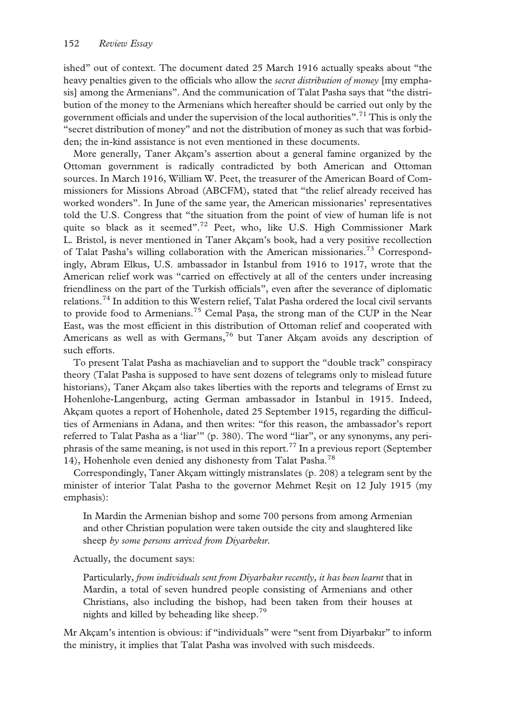ished" out of context. The document dated 25 March 1916 actually speaks about "the heavy penalties given to the officials who allow the *secret distribution of money* [my emphasis] among the Armenians". And the communication of Talat Pasha says that "the distribution of the money to the Armenians which hereafter should be carried out only by the government officials and under the supervision of the local authorities".<sup>71</sup> This is only the "secret distribution of money" and not the distribution of money as such that was forbidden; the in-kind assistance is not even mentioned in these documents.

More generally, Taner Akçam's assertion about a general famine organized by the Ottoman government is radically contradicted by both American and Ottoman sources. In March 1916, William W. Peet, the treasurer of the American Board of Commissioners for Missions Abroad (ABCFM), stated that "the relief already received has worked wonders". In June of the same year, the American missionaries' representatives told the U.S. Congress that "the situation from the point of view of human life is not quite so black as it seemed".<sup>72</sup> Peet, who, like U.S. High Commissioner Mark L. Bristol, is never mentioned in Taner Akçam's book, had a very positive recollection of Talat Pasha's willing collaboration with the American missionaries.<sup>73</sup> Correspondingly, Abram Elkus, U.S. ambassador in İ stanbul from 1916 to 1917, wrote that the American relief work was "carried on effectively at all of the centers under increasing friendliness on the part of the Turkish officials", even after the severance of diplomatic relations.<sup>74</sup> In addition to this Western relief, Talat Pasha ordered the local civil servants to provide food to Armenians.<sup>75</sup> Cemal Pasa, the strong man of the CUP in the Near East, was the most efficient in this distribution of Ottoman relief and cooperated with Americans as well as with Germans,  $76$  but Taner Akçam avoids any description of such efforts.

To present Talat Pasha as machiavelian and to support the "double track" conspiracy theory (Talat Pasha is supposed to have sent dozens of telegrams only to mislead future historians), Taner Akçam also takes liberties with the reports and telegrams of Ernst zu Hohenlohe-Langenburg, acting German ambassador in İ stanbul in 1915. Indeed, Akçam quotes a report of Hohenhole, dated 25 September 1915, regarding the difficulties of Armenians in Adana, and then writes: "for this reason, the ambassador's report referred to Talat Pasha as a 'liar'" (p. 380). The word "liar", or any synonyms, any periphrasis of the same meaning, is not used in this report.<sup>77</sup> In a previous report (September 14), Hohenhole even denied any dishonesty from Talat Pasha.<sup>78</sup>

Correspondingly, Taner Akçam wittingly mistranslates (p. 208) a telegram sent by the minister of interior Talat Pasha to the governor Mehmet Resit on 12 July 1915 (my emphasis):

In Mardin the Armenian bishop and some 700 persons from among Armenian and other Christian population were taken outside the city and slaughtered like sheep by some persons arrived from Diyarbekır.

Actually, the document says:

Particularly, from individuals sent from Diyarbakır recently, it has been learnt that in Mardin, a total of seven hundred people consisting of Armenians and other Christians, also including the bishop, had been taken from their houses at nights and killed by beheading like sheep.<sup>79</sup>

Mr Akçam's intention is obvious: if "individuals" were "sent from Diyarbakır" to inform the ministry, it implies that Talat Pasha was involved with such misdeeds.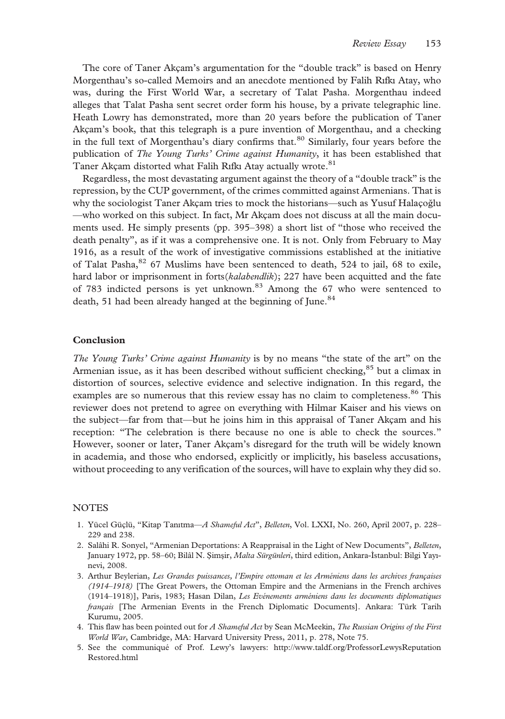The core of Taner Akçam's argumentation for the "double track" is based on Henry Morgenthau's so-called Memoirs and an anecdote mentioned by Falih Rıfkı Atay, who was, during the First World War, a secretary of Talat Pasha. Morgenthau indeed alleges that Talat Pasha sent secret order form his house, by a private telegraphic line. Heath Lowry has demonstrated, more than 20 years before the publication of Taner Akçam's book, that this telegraph is a pure invention of Morgenthau, and a checking in the full text of Morgenthau's diary confirms that. $80$  Similarly, four years before the publication of The Young Turks' Crime against Humanity, it has been established that Taner Akçam distorted what Falih Rıfkı Atay actually wrote.<sup>81</sup>

Regardless, the most devastating argument against the theory of a "double track" is the repression, by the CUP government, of the crimes committed against Armenians. That is why the sociologist Taner Akçam tries to mock the historians—such as Yusuf Halacoğlu —who worked on this subject. In fact, Mr Akçam does not discuss at all the main documents used. He simply presents (pp. 395–398) a short list of "those who received the death penalty", as if it was a comprehensive one. It is not. Only from February to May 1916, as a result of the work of investigative commissions established at the initiative of Talat Pasha,  $82$  67 Muslims have been sentenced to death, 524 to jail, 68 to exile, hard labor or imprisonment in forts(kalabendlik); 227 have been acquitted and the fate of 783 indicted persons is yet unknown.<sup>83</sup> Among the 67 who were sentenced to death, 51 had been already hanged at the beginning of June.<sup>84</sup>

#### Conclusion

The Young Turks' Crime against Humanity is by no means "the state of the art" on the Armenian issue, as it has been described without sufficient checking, $85$  but a climax in distortion of sources, selective evidence and selective indignation. In this regard, the examples are so numerous that this review essay has no claim to completeness.<sup>86</sup> This reviewer does not pretend to agree on everything with Hilmar Kaiser and his views on the subject—far from that—but he joins him in this appraisal of Taner Akçam and his reception: "The celebration is there because no one is able to check the sources." However, sooner or later, Taner Akçam's disregard for the truth will be widely known in academia, and those who endorsed, explicitly or implicitly, his baseless accusations, without proceeding to any verification of the sources, will have to explain why they did so.

#### NOTES

- 1. Yücel Güçlü, "Kitap Tanıtma—A Shameful Act", Belleten, Vol. LXXI, No. 260, April 2007, p. 228– 229 and 238.
- 2. Salâhi R. Sonyel, "Armenian Deportations: A Reappraisal in the Light of New Documents", Belleten, January 1972, pp. 58–60; Bilâl N. Şimşir, *Malta Sürgünleri*, third edition, Ankara-İstanbul: Bilgi Yayınevi, 2008.
- 3. Arthur Beylerian, Les Grandes puissances, l'Empire ottoman et les Arméniens dans les archives françaises (1914–1918) [The Great Powers, the Ottoman Empire and the Armenians in the French archives (1914–1918)], Paris, 1983; Hasan Dilan, Les Evénements arméniens dans les documents diplomatiques français [The Armenian Events in the French Diplomatic Documents]. Ankara: Türk Tarih Kurumu, 2005.
- 4. This flaw has been pointed out for A Shameful Act by Sean McMeekin, The Russian Origins of the First World War, Cambridge, MA: Harvard University Press, 2011, p. 278, Note 75.
- 5. See the communiqué of Prof. Lewy's lawyers: http://www.taldf.org/ProfessorLewysReputation Restored.html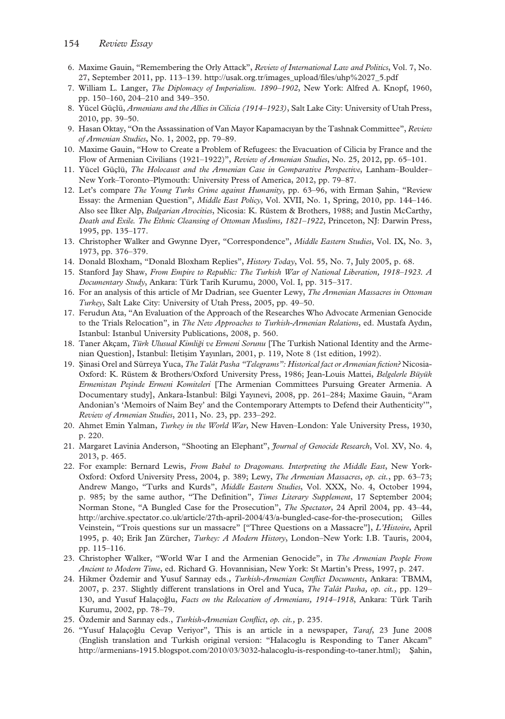- 6. Maxime Gauin, "Remembering the Orly Attack", Review of International Law and Politics, Vol. 7, No. 27, September 2011, pp. 113–139. http://usak.org.tr/images\_upload/files/uhp%2027\_5.pdf
- 7. William L. Langer, The Diplomacy of Imperialism. 1890–1902, New York: Alfred A. Knopf, 1960, pp. 150–160, 204–210 and 349–350.
- 8. Yücel Güçlü, Armenians and the Allies in Cilicia (1914–1923), Salt Lake City: University of Utah Press, 2010, pp. 39–50.
- 9. Hasan Oktay, "On the Assassination of Van Mayor Kapamacıyan by the Tashnak Committee", Review of Armenian Studies, No. 1, 2002, pp. 79–89.
- 10. Maxime Gauin, "How to Create a Problem of Refugees: the Evacuation of Cilicia by France and the Flow of Armenian Civilians (1921–1922)", Review of Armenian Studies, No. 25, 2012, pp. 65–101.
- 11. Yücel Güçlü, The Holocaust and the Armenian Case in Comparative Perspective, Lanham–Boulder– New York–Toronto–Plymouth: University Press of America, 2012, pp. 79–87.
- 12. Let's compare The Young Turks Crime against Humanity, pp. 63-96, with Erman Şahin, "Review Essay: the Armenian Question", Middle East Policy, Vol. XVII, No. 1, Spring, 2010, pp. 144-146. Also see İlker Alp, Bulgarian Atrocities, Nicosia: K. Rüstem & Brothers, 1988; and Justin McCarthy, Death and Exile. The Ethnic Cleansing of Ottoman Muslims, 1821–1922, Princeton, NJ: Darwin Press, 1995, pp. 135–177.
- 13. Christopher Walker and Gwynne Dyer, "Correspondence", Middle Eastern Studies, Vol. IX, No. 3, 1973, pp. 376–379.
- 14. Donald Bloxham, "Donald Bloxham Replies", History Today, Vol. 55, No. 7, July 2005, p. 68.
- 15. Stanford Jay Shaw, From Empire to Republic: The Turkish War of National Liberation, 1918–1923. A Documentary Study, Ankara: Türk Tarih Kurumu, 2000, Vol. I, pp. 315–317.
- 16. For an analysis of this article of Mr Dadrian, see Guenter Lewy, The Armenian Massacres in Ottoman Turkey, Salt Lake City: University of Utah Press, 2005, pp. 49–50.
- 17. Ferudun Ata, "An Evaluation of the Approach of the Researches Who Advocate Armenian Genocide to the Trials Relocation", in The New Approaches to Turkish-Armenian Relations, ed. Mustafa Aydın, Istanbul: Istanbul University Publications, 2008, p. 560.
- 18. Taner Akçam, Türk Ulusual Kimliği ve Ermeni Sorunu [The Turkish National Identity and the Armenian Question], İstanbul: İletişim Yayınları, 2001, p. 119, Note 8 (1st edition, 1992).
- 19. Sinasi Orel and Sürreya Yuca, The Talât Pasha "Telegrams": Historical fact or Armenian fiction? Nicosia-Oxford: K. Rüstem & Brothers/Oxford University Press, 1986; Jean-Louis Mattei, Belgelerle Büyük Ermenistan Peşinde Ermeni Komiteleri [The Armenian Committees Pursuing Greater Armenia. A Documentary study], Ankara-İ stanbul: Bilgi Yayınevi, 2008, pp. 261–284; Maxime Gauin, "Aram Andonian's 'Memoirs of Naim Bey' and the Contemporary Attempts to Defend their Authenticity'", Review of Armenian Studies, 2011, No. 23, pp. 233–292.
- 20. Ahmet Emin Yalman, Turkey in the World War, New Haven-London: Yale University Press, 1930, p. 220.
- 21. Margaret Lavinia Anderson, "Shooting an Elephant", Journal of Genocide Research, Vol. XV, No. 4, 2013, p. 465.
- 22. For example: Bernard Lewis, From Babel to Dragomans. Interpreting the Middle East, New York-Oxford: Oxford University Press, 2004, p. 389; Lewy, The Armenian Massacres, op. cit., pp. 63–73; Andrew Mango, "Turks and Kurds", Middle Eastern Studies, Vol. XXX, No. 4, October 1994, p. 985; by the same author, "The Definition", Times Literary Supplement, 17 September 2004; Norman Stone, "A Bungled Case for the Prosecution", The Spectator, 24 April 2004, pp. 43–44, http://archive.spectator.co.uk/article/27th-april-2004/43/a-bungled-case-for-the-prosecution; Gilles Veinstein, "Trois questions sur un massacre" ["Three Questions on a Massacre"], L'Histoire, April 1995, p. 40; Erik Jan Zürcher, Turkey: A Modern History, London–New York: I.B. Tauris, 2004, pp. 115–116.
- 23. Christopher Walker, "World War I and the Armenian Genocide", in The Armenian People From Ancient to Modern Time, ed. Richard G. Hovannisian, New York: St Martin's Press, 1997, p. 247.
- 24. Hikmer Özdemir and Yusuf Sarınay eds., Turkish-Armenian Conflict Documents, Ankara: TBMM, 2007, p. 237. Slightly different translations in Orel and Yuca, *The Talât Pasha, op. cit.*, pp. 129– 130, and Yusuf Halaçoğlu, Facts on the Relocation of Armenians, 1914-1918, Ankara: Türk Tarih Kurumu, 2002, pp. 78–79.
- 25. Ozdemir and Sarınay eds., Turkish-Armenian Conflict, op. cit., p. 235.
- 26. "Yusuf Halaçoğlu Cevap Veriyor", This is an article in a newspaper, Taraf, 23 June 2008 (English translation and Turkish original version: "Halacoglu is Responding to Taner Akcam" http://armenians-1915.blogspot.com/2010/03/3032-halacoglu-is-responding-to-taner.html); Şahin,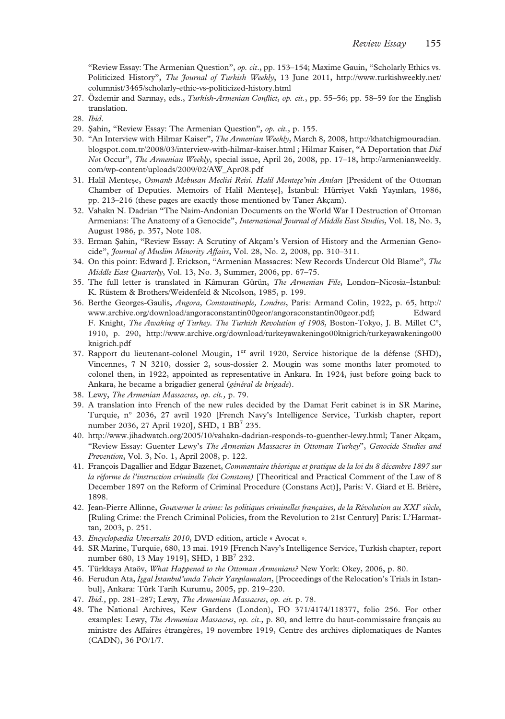"Review Essay: The Armenian Question", op. cit., pp. 153-154; Maxime Gauin, "Scholarly Ethics vs. Politicized History", The Journal of Turkish Weekly, 13 June 2011, http://www.turkishweekly.net/ columnist/3465/scholarly-ethic-vs-politicized-history.html

- 27. Özdemir and Sarınay, eds., Turkish-Armenian Conflict, op. cit., pp. 55–56; pp. 58–59 for the English translation.
- 28. Ibid.
- 29. Sahin, "Review Essay: The Armenian Question", op. cit., p. 155.
- 30. "An Interview with Hilmar Kaiser", The Armenian Weekly, March 8, 2008, http://khatchigmouradian. blogspot.com.tr/2008/03/interview-with-hilmar-kaiser.html ; Hilmar Kaiser, "A Deportation that Did Not Occur", The Armenian Weekly, special issue, April 26, 2008, pp. 17–18, http://armenianweekly. com/wp-content/uploads/2009/02/AW\_Apr08.pdf
- 31. Halil Mentese, Osmanlı Mebusan Meclisi Reisi. Halil Mentese'nin Anıları [President of the Ottoman Chamber of Deputies. Memoirs of Halil Menteşe], İstanbul: Hürriyet Vakfı Yayınları, 1986, pp. 213–216 (these pages are exactly those mentioned by Taner Akçam).
- 32. Vahakn N. Dadrian "The Naim-Andonian Documents on the World War I Destruction of Ottoman Armenians: The Anatomy of a Genocide", International Journal of Middle East Studies, Vol. 18, No. 3, August 1986, p. 357, Note 108.
- 33. Erman Şahin, "Review Essay: A Scrutiny of Akçam's Version of History and the Armenian Genocide", Journal of Muslim Minority Affairs, Vol. 28, No. 2, 2008, pp. 310-311.
- 34. On this point: Edward J. Erickson, "Armenian Massacres: New Records Undercut Old Blame", The Middle East Quarterly, Vol. 13, No. 3, Summer, 2006, pp. 67–75.
- 35. The full letter is translated in Kâmuran Gürün, The Armenian File, London-Nicosia-İstanbul: K. Rüstem & Brothers/Weidenfeld & Nicolson, 1985, p. 199.
- 36. Berthe Georges-Gaulis, Angora, Constantinople, Londres, Paris: Armand Colin, 1922, p. 65, http:// www.archive.org/download/angoraconstantin00geor/angoraconstantin00geor.pdf; Edward F. Knight, The Awaking of Turkey. The Turkish Revolution of 1908, Boston-Tokyo, J. B. Millet C°, 1910, p. 290, http://www.archive.org/download/turkeyawakeningo00knigrich/turkeyawakeningo00 knigrich.pdf
- 37. Rapport du lieutenant-colonel Mougin,  $1<sup>er</sup>$  avril 1920, Service historique de la défense (SHD), Vincennes, 7 N 3210, dossier 2, sous-dossier 2. Mougin was some months later promoted to colonel then, in 1922, appointed as representative in Ankara. In 1924, just before going back to Ankara, he became a brigadier general (général de brigade).
- 38. Lewy, The Armenian Massacres, op. cit., p. 79.
- 39. A translation into French of the new rules decided by the Damat Ferit cabinet is in SR Marine, Turquie, n° 2036, 27 avril 1920 [French Navy's Intelligence Service, Turkish chapter, report number 2036, 27 April 1920], SHD, 1 BB<sup>7</sup> 235.
- 40. http://www.jihadwatch.org/2005/10/vahakn-dadrian-responds-to-guenther-lewy.html; Taner Akçam, "Review Essay: Guenter Lewy's The Armenian Massacres in Ottoman Turkey", Genocide Studies and Prevention, Vol. 3, No. 1, April 2008, p. 122.
- 41. François Dagallier and Edgar Bazenet, Commentaire théorique et pratique de la loi du 8 décembre 1897 sur la réforme de l'instruction criminelle (loi Constans) [Theoritical and Practical Comment of the Law of 8 December 1897 on the Reform of Criminal Procedure (Constans Act)], Paris: V. Giard et E. Brière, 1898.
- 42. Jean-Pierre Allinne, Gouverner le crime: les politiques criminelles françaises, de la Révolution au XXI<sup>e</sup> siècle, [Ruling Crime: the French Criminal Policies, from the Revolution to 21st Century] Paris: L'Harmattan, 2003, p. 251.
- 43. Encyclopædia Unversalis 2010, DVD edition, article « Avocat ».
- 44. SR Marine, Turquie, 680, 13 mai. 1919 [French Navy's Intelligence Service, Turkish chapter, report number 680, 13 May 1919], SHD, 1 BB<sup>7</sup> 232.
- 45. Türkkaya Ataöv, What Happened to the Ottoman Armenians? New York: Okey, 2006, p. 80.
- 46. Ferudun Ata, İşgal İstanbul'unda Tehcir Yargılamaları, [Proceedings of the Relocation's Trials in Istanbul], Ankara: Türk Tarih Kurumu, 2005, pp. 219–220.
- 47. Ibid., pp. 281–287; Lewy, The Armenian Massacres, op. cit. p. 78.
- 48. The National Archives, Kew Gardens (London), FO 371/4174/118377, folio 256. For other examples: Lewy, The Armenian Massacres, op. cit., p. 80, and lettre du haut-commissaire français au ministre des Affaires étrangères, 19 novembre 1919, Centre des archives diplomatiques de Nantes (CADN), 36 PO/1/7.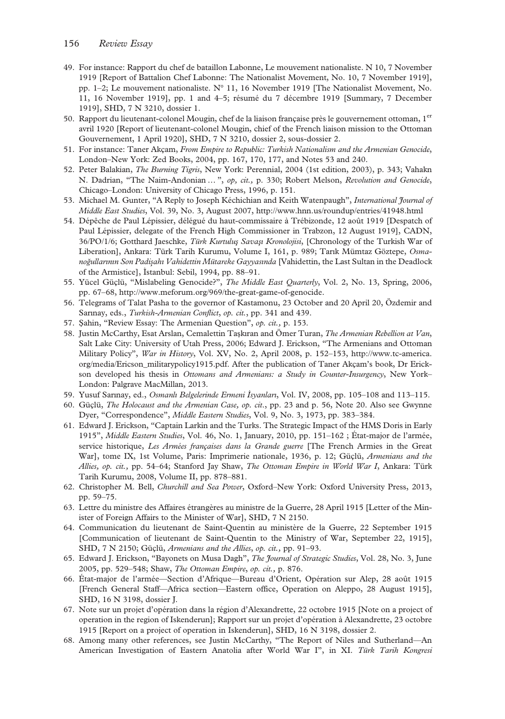- 49. For instance: Rapport du chef de bataillon Labonne, Le mouvement nationaliste. N 10, 7 November 1919 [Report of Battalion Chef Labonne: The Nationalist Movement, No. 10, 7 November 1919], pp. 1–2; Le mouvement nationaliste.  $N^{\circ}$  11, 16 November 1919 [The Nationalist Movement, No. 11, 16 November 1919], pp. 1 and 4–5; résumé du 7 décembre 1919 [Summary, 7 December 1919], SHD, 7 N 3210, dossier 1.
- 50. Rapport du lieutenant-colonel Mougin, chef de la liaison française près le gouvernement ottoman,  $1<sup>er</sup>$ avril 1920 [Report of lieutenant-colonel Mougin, chief of the French liaison mission to the Ottoman Gouvernement, 1 April 1920], SHD, 7 N 3210, dossier 2, sous-dossier 2.
- 51. For instance: Taner Akçam, From Empire to Republic: Turkish Nationalism and the Armenian Genocide, London–New York: Zed Books, 2004, pp. 167, 170, 177, and Notes 53 and 240.
- 52. Peter Balakian, *The Burning Tigris*, New York: Perennial, 2004 (1st edition, 2003), p. 343; Vahakn N. Dadrian, "The Naim-Andonian ... ", op, cit., p. 330; Robert Melson, Revolution and Genocide, Chicago–London: University of Chicago Press, 1996, p. 151.
- 53. Michael M. Gunter, "A Reply to Joseph Kéchichian and Keith Watenpaugh", International Journal of Middle East Studies, Vol. 39, No. 3, August 2007, http://www.hnn.us/roundup/entries/41948.html
- 54. Dépêche de Paul Lépissier, délégué du haut-commissaire à Trébizonde, 12 août 1919 [Despatch of Paul Lépissier, delegate of the French High Commissioner in Trabzon, 12 August 1919], CADN, 36/PO/1/6; Gotthard Jaeschke, Türk Kurtuluş Savaşı Kronolojisi, [Chronology of the Turkish War of Liberation], Ankara: Türk Tarih Kurumu, Volume I, 161, p. 989; Tarık Mümtaz Göztepe, Osmanoğullarının Son Padişahı Vahidettin Mütareke Gayyasında [Vahidettin, the Last Sultan in the Deadlock of the Armistice], İstanbul: Sebil, 1994, pp. 88-91.
- 55. Yücel Güçlü, "Mislabeling Genocide?", The Middle East Quarterly, Vol. 2, No. 13, Spring, 2006, pp. 67–68, http://www.meforum.org/969/the-great-game-of-genocide.
- 56. Telegrams of Talat Pasha to the governor of Kastamonu, 23 October and 20 April 20, Özdemir and Sarınay, eds., Turkish-Armenian Conflict, op. cit., pp. 341 and 439.
- 57. Sahin, "Review Essay: The Armenian Question", op. cit., p. 153.
- 58. Justin McCarthy, Esat Arslan, Cemalettin Taşkıran and Ömer Turan, The Armenian Rebellion at Van, Salt Lake City: University of Utah Press, 2006; Edward J. Erickson, "The Armenians and Ottoman Military Policy", War in History, Vol. XV, No. 2, April 2008, p. 152–153, http://www.tc-america. org/media/Ericson\_militarypolicy1915.pdf. After the publication of Taner Akçam's book, Dr Erickson developed his thesis in Ottomans and Armenians: a Study in Counter-Insurgency, New York-London: Palgrave MacMillan, 2013.
- 59. Yusuf Sarınay, ed., Osmanlı Belgelerinde Ermeni İsyanları, Vol. IV, 2008, pp. 105-108 and 113-115.
- 60. Güçlü, The Holocaust and the Armenian Case, op. cit., pp. 23 and p. 56, Note 20. Also see Gwynne Dyer, "Correspondence", Middle Eastern Studies, Vol. 9, No. 3, 1973, pp. 383-384.
- 61. Edward J. Erickson, "Captain Larkin and the Turks. The Strategic Impact of the HMS Doris in Early 1915", Middle Eastern Studies, Vol. 46, No. 1, January, 2010, pp. 151–162 ; État-major de l'armée, service historique, Les Armées françaises dans la Grande guerre [The French Armies in the Great War], tome IX, 1st Volume, Paris: Imprimerie nationale, 1936, p. 12; Güçlü, Armenians and the Allies, op. cit., pp. 54–64; Stanford Jay Shaw, The Ottoman Empire in World War I, Ankara: Türk Tarih Kurumu, 2008, Volume II, pp. 878–881.
- 62. Christopher M. Bell, Churchill and Sea Power, Oxford–New York: Oxford University Press, 2013, pp. 59–75.
- 63. Lettre du ministre des Affaires étrangères au ministre de la Guerre, 28 April 1915 [Letter of the Minister of Foreign Affairs to the Minister of War], SHD, 7 N 2150.
- 64. Communication du lieutenant de Saint-Quentin au ministère de la Guerre, 22 September 1915 [Communication of lieutenant de Saint-Quentin to the Ministry of War, September 22, 1915], SHD, 7 N 2150; Güçlü, Armenians and the Allies, op. cit., pp. 91-93.
- 65. Edward J. Erickson, "Bayonets on Musa Dagh", *The Journal of Strategic Studies*, Vol. 28, No. 3, June 2005, pp. 529–548; Shaw, The Ottoman Empire, op. cit., p. 876.
- 66. État-major de l'armée—Section d'Afrique—Bureau d'Orient, Opération sur Alep, 28 août 1915 [French General Staff—Africa section—Eastern office, Operation on Aleppo, 28 August 1915], SHD, 16 N 3198, dossier J.
- 67. Note sur un projet d'opération dans la région d'Alexandrette, 22 octobre 1915 [Note on a project of operation in the region of Iskenderun]; Rapport sur un projet d'opération à Alexandrette, 23 octobre 1915 [Report on a project of operation in Iskenderun], SHD, 16 N 3198, dossier 2.
- 68. Among many other references, see Justin McCarthy, "The Report of Niles and Sutherland—An American Investigation of Eastern Anatolia after World War I", in XI. Türk Tarih Kongresi